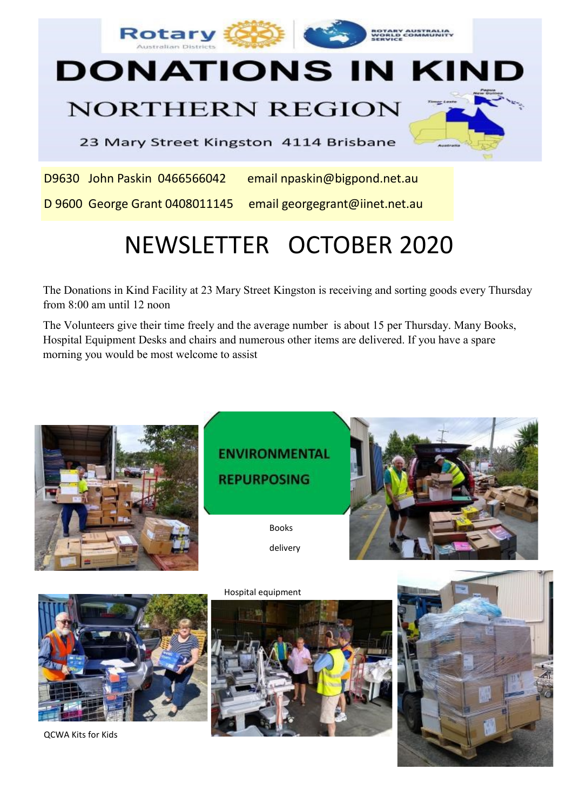

## **NORTHERN REGION**

23 Mary Street Kingston 4114 Brisbane

D9630 John Paskin 0466566042 email npaskin@bigpond.net.au

D 9600 George Grant 0408011145 email georgegrant@iinet.net.au

# NEWSLETTER OCTOBER 2020

The Donations in Kind Facility at 23 Mary Street Kingston is receiving and sorting goods every Thursday from 8:00 am until 12 noon

The Volunteers give their time freely and the average number is about 15 per Thursday. Many Books, Hospital Equipment Desks and chairs and numerous other items are delivered. If you have a spare morning you would be most welcome to assist



QCWA Kits for Kids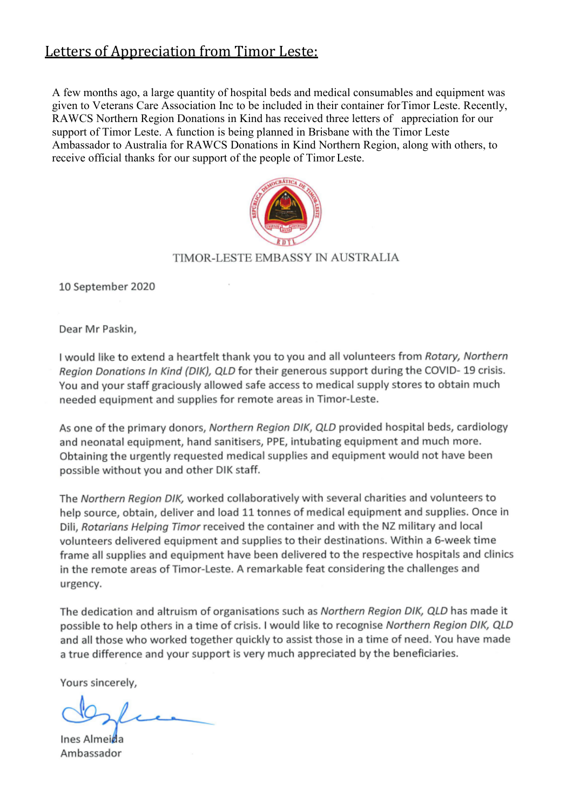## Letters of Appreciation from Timor Leste:

A few months ago, a large quantity of hospital beds and medical consumables and equipment was given to Veterans Care Association Inc to be included in their container for Timor Leste. Recently, RAWCS Northern Region Donations in Kind has received three letters of appreciation for our support of Timor Leste. A function is being planned in Brisbane with the Timor Leste Ambassador to Australia for RAWCS Donations in Kind Northern Region, along with others, to receive official thanks for our support of the people of Timor Leste.



#### TIMOR-LESTE EMBASSY IN AUSTRALIA

10 September 2020

Dear Mr Paskin,

I would like to extend a heartfelt thank you to you and all volunteers from Rotary, Northern Region Donations In Kind (DIK), QLD for their generous support during the COVID-19 crisis. You and your staff graciously allowed safe access to medical supply stores to obtain much needed equipment and supplies for remote areas in Timor-Leste.

As one of the primary donors, Northern Region DIK, QLD provided hospital beds, cardiology and neonatal equipment, hand sanitisers, PPE, intubating equipment and much more. Obtaining the urgently requested medical supplies and equipment would not have been possible without you and other DIK staff.

The Northern Region DIK, worked collaboratively with several charities and volunteers to help source, obtain, deliver and load 11 tonnes of medical equipment and supplies. Once in Dili, Rotarians Helping Timor received the container and with the NZ military and local volunteers delivered equipment and supplies to their destinations. Within a 6-week time frame all supplies and equipment have been delivered to the respective hospitals and clinics in the remote areas of Timor-Leste. A remarkable feat considering the challenges and urgency.

The dedication and altruism of organisations such as Northern Region DIK, QLD has made it possible to help others in a time of crisis. I would like to recognise Northern Region DIK, QLD and all those who worked together quickly to assist those in a time of need. You have made a true difference and your support is very much appreciated by the beneficiaries.

Yours sincerely,

Ines Almeida Ambassador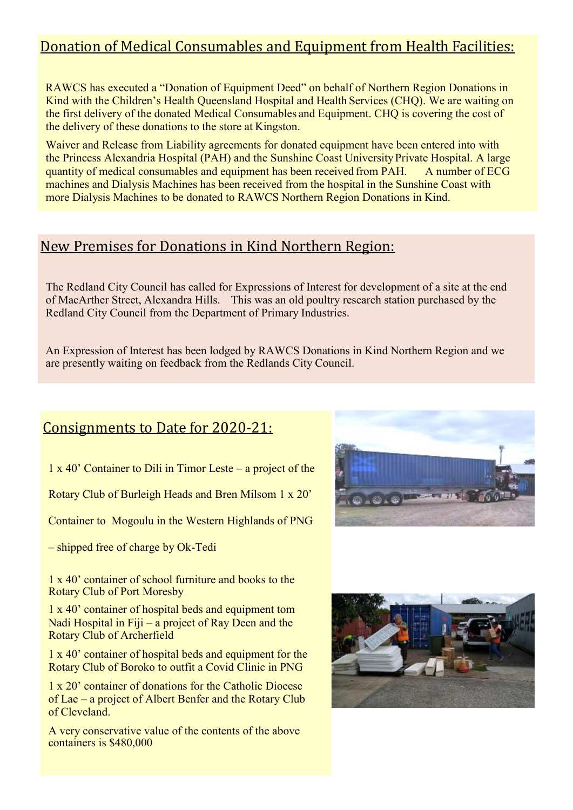## Donation of Medical Consumables and Equipment from Health Facilities:

RAWCS has executed a "Donation of Equipment Deed" on behalf of Northern Region Donations in Kind with the Children's Health Queensland Hospital and Health Services (CHQ). We are waiting on the first delivery of the donated Medical Consumables and Equipment. CHQ is covering the cost of the delivery of these donations to the store at Kingston.

Waiver and Release from Liability agreements for donated equipment have been entered into with the Princess Alexandria Hospital (PAH) and the Sunshine Coast UniversityPrivate Hospital. A large quantity of medical consumables and equipment has been received from PAH. A number of ECG machines and Dialysis Machines has been received from the hospital in the Sunshine Coast with more Dialysis Machines to be donated to RAWCS Northern Region Donations in Kind.

## New Premises for Donations in Kind Northern Region:

The Redland City Council has called for Expressions of Interest for development of a site at the end of MacArther Street, Alexandra Hills. This was an old poultry research station purchased by the Redland City Council from the Department of Primary Industries.

An Expression of Interest has been lodged by RAWCS Donations in Kind Northern Region and we are presently waiting on feedback from the Redlands City Council.

### Consignments to Date for 2020-21:

1 x 40' Container to Dili in Timor Leste – a project of the

Rotary Club of Burleigh Heads and Bren Milsom 1 x 20'

Container to Mogoulu in the Western Highlands of PNG

– shipped free of charge by Ok-Tedi

1 x 40' container of school furniture and books to the Rotary Club of Port Moresby

1 x 40' container of hospital beds and equipment tom Nadi Hospital in Fiji – a project of Ray Deen and the Rotary Club of Archerfield

1 x 40' container of hospital beds and equipment for the Rotary Club of Boroko to outfit a Covid Clinic in PNG

1 x 20' container of donations for the Catholic Diocese of Lae – a project of Albert Benfer and the Rotary Club of Cleveland.

A very conservative value of the contents of the above containers is \$480,000